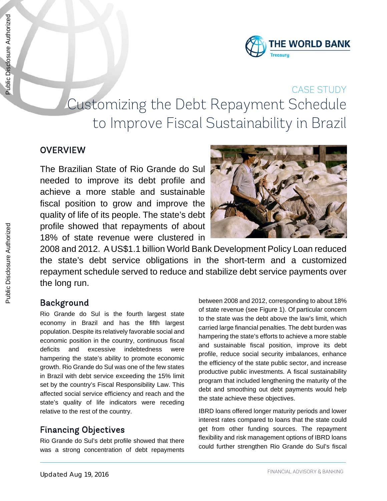

# CASE STUDY Customizing the Debt Repayment Schedule to Improve Fiscal Sustainability in Brazil

### **OVERVIEW**

The Brazilian State of Rio Grande do Sul needed to improve its debt profile and achieve a more stable and sustainable fiscal position to grow and improve the quality of life of its people. The state's debt profile showed that repayments of about 18% of state revenue were clustered in



2008 and 2012. A US\$1.1 billion World Bank Development Policy Loan reduced the state's debt service obligations in the short-term and a customized repayment schedule served to reduce and stabilize debt service payments over the long run.

### Background

Rio Grande do Sul is the fourth largest state economy in Brazil and has the fifth largest population. Despite its relatively favorable social and economic position in the country, continuous fiscal deficits and excessive indebtedness were hampering the state's ability to promote economic growth. Rio Grande do Sul was one of the few states in Brazil with debt service exceeding the 15% limit set by the country's Fiscal Responsibility Law. This affected social service efficiency and reach and the state's quality of life indicators were receding relative to the rest of the country.

## Financing Objectives

Rio Grande do Sul's debt profile showed that there was a strong concentration of debt repayments between 2008 and 2012, corresponding to about 18% of state revenue (see Figure 1). Of particular concern to the state was the debt above the law's limit, which carried large financial penalties. The debt burden was hampering the state's efforts to achieve a more stable and sustainable fiscal position, improve its debt profile, reduce social security imbalances, enhance the efficiency of the state public sector, and increase productive public investments. A fiscal sustainability program that included lengthening the maturity of the debt and smoothing out debt payments would help the state achieve these objectives.

IBRD loans offered longer maturity periods and lower interest rates compared to loans that the state could get from other funding sources. The repayment flexibility and risk management options of IBRD loans could further strengthen Rio Grande do Sul's fiscal